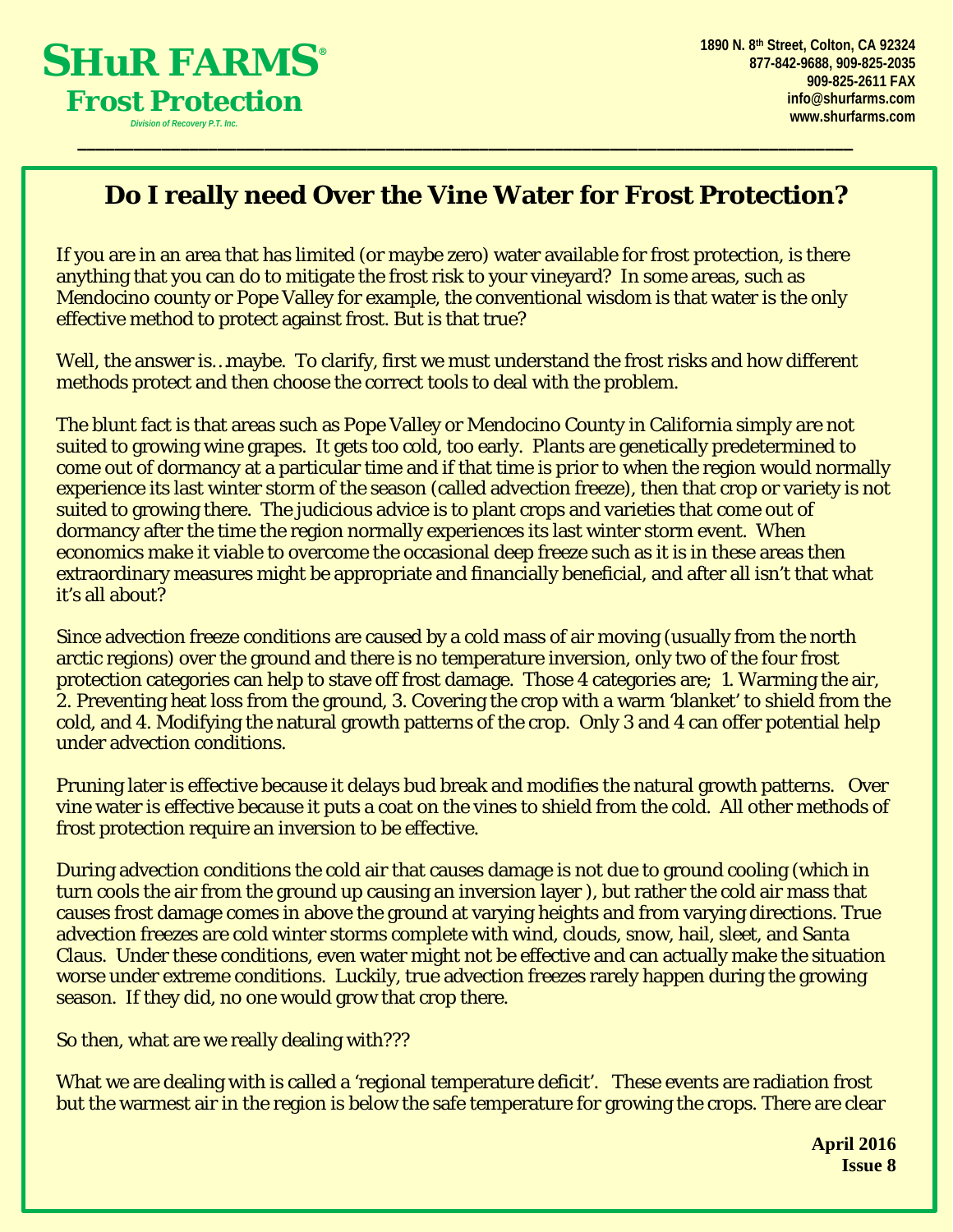

## **Do I really need Over the Vine Water for Frost Protection?**

\_\_\_\_\_\_\_\_\_\_\_\_\_\_\_\_\_\_\_\_\_\_\_\_\_\_\_\_\_\_\_\_\_\_\_\_\_\_\_\_\_\_\_\_\_\_\_\_\_\_\_\_\_\_\_\_\_\_\_\_\_\_\_\_\_\_\_\_\_\_\_\_\_\_\_\_\_\_\_\_\_\_\_

If you are in an area that has limited (or maybe zero) water available for frost protection, is there anything that you can do to mitigate the frost risk to your vineyard? In some areas, such as Mendocino county or Pope Valley for example, the conventional wisdom is that water is the only effective method to protect against frost. But is that true?

Well, the answer is…maybe. To clarify, first we must understand the frost risks and how different methods protect and then choose the correct tools to deal with the problem.

The blunt fact is that areas such as Pope Valley or Mendocino County in California simply are not suited to growing wine grapes. It gets too cold, too early. Plants are genetically predetermined to come out of dormancy at a particular time and if that time is prior to when the region would normally experience its last winter storm of the season (called advection freeze), then that crop or variety is not suited to growing there. The judicious advice is to plant crops and varieties that come out of dormancy after the time the region normally experiences its last winter storm event. When economics make it viable to overcome the occasional deep freeze such as it is in these areas then extraordinary measures might be appropriate and financially beneficial, and after all isn't that what it's all about?

Since advection freeze conditions are caused by a cold mass of air moving (usually from the north arctic regions) over the ground and there is no temperature inversion, only two of the four frost protection categories can help to stave off frost damage. Those 4 categories are; 1. Warming the air, 2. Preventing heat loss from the ground, 3. Covering the crop with a warm 'blanket' to shield from the cold, and 4. Modifying the natural growth patterns of the crop. Only 3 and 4 can offer potential help under advection conditions.

Pruning later is effective because it delays bud break and modifies the natural growth patterns. Over vine water is effective because it puts a coat on the vines to shield from the cold. All other methods of frost protection require an inversion to be effective.

During advection conditions the cold air that causes damage is not due to ground cooling (which in turn cools the air from the ground up causing an inversion layer ), but rather the cold air mass that causes frost damage comes in above the ground at varying heights and from varying directions. True advection freezes are cold winter storms complete with wind, clouds, snow, hail, sleet, and Santa Claus. Under these conditions, even water might not be effective and can actually make the situation worse under extreme conditions. Luckily, true advection freezes rarely happen during the growing season. If they did, no one would grow that crop there.

So then, what are we really dealing with???

What we are dealing with is called a 'regional temperature deficit'. These events are radiation frost but the warmest air in the region is below the safe temperature for growing the crops. There are clear

> **April 2016 Issue 8**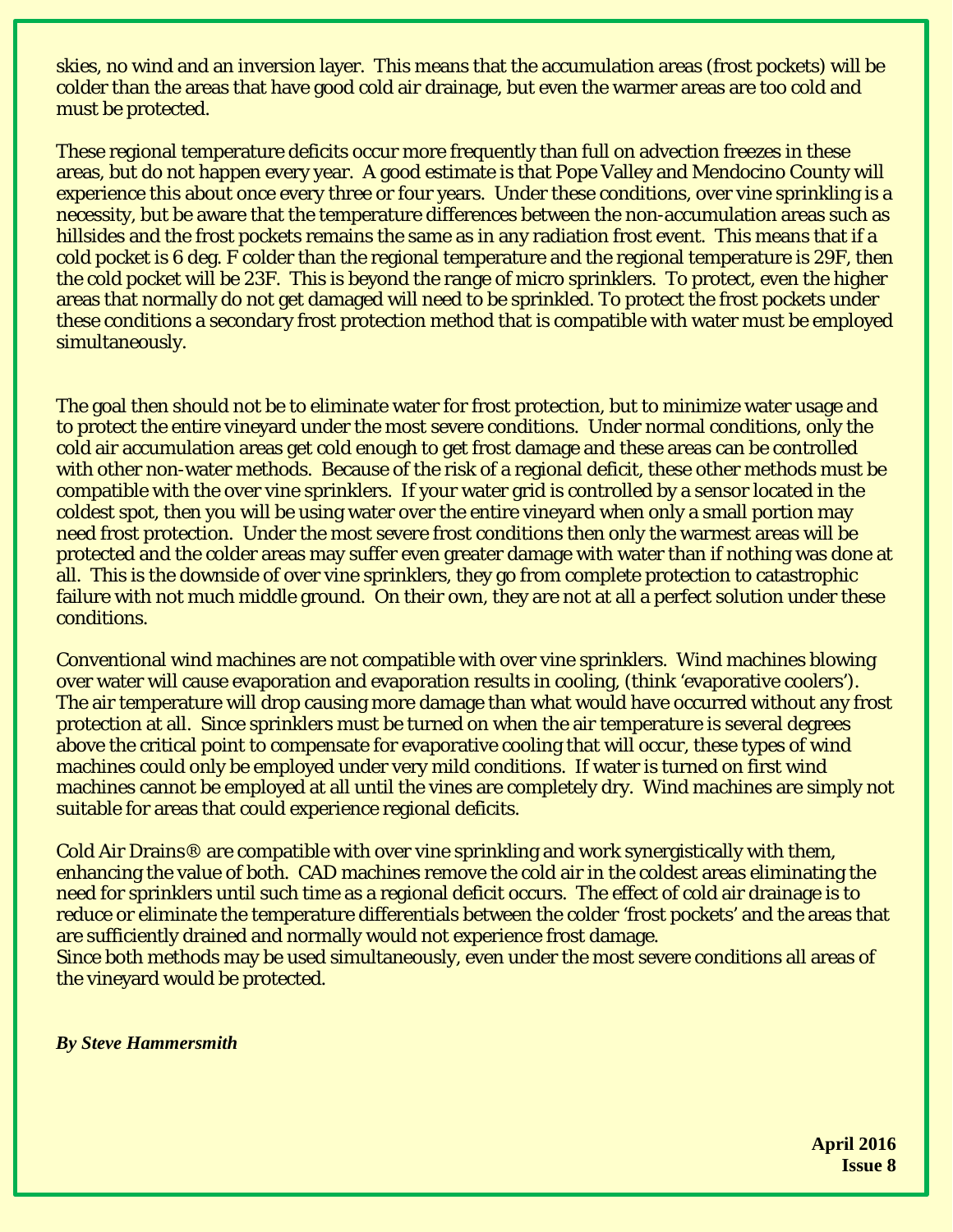skies, no wind and an inversion layer. This means that the accumulation areas (frost pockets) will be colder than the areas that have good cold air drainage, but even the warmer areas are too cold and must be protected.

These regional temperature deficits occur more frequently than full on advection freezes in these areas, but do not happen every year. A good estimate is that Pope Valley and Mendocino County will experience this about once every three or four years. Under these conditions, over vine sprinkling is a necessity, but be aware that the temperature differences between the non-accumulation areas such as hillsides and the frost pockets remains the same as in any radiation frost event. This means that if a cold pocket is 6 deg. F colder than the regional temperature and the regional temperature is 29F, then the cold pocket will be 23F. This is beyond the range of micro sprinklers. To protect, even the higher areas that normally do not get damaged will need to be sprinkled. To protect the frost pockets under these conditions a secondary frost protection method that is compatible with water must be employed simultaneously.

The goal then should not be to eliminate water for frost protection, but to minimize water usage and to protect the entire vineyard under the most severe conditions. Under normal conditions, only the cold air accumulation areas get cold enough to get frost damage and these areas can be controlled with other non-water methods. Because of the risk of a regional deficit, these other methods must be compatible with the over vine sprinklers. If your water grid is controlled by a sensor located in the coldest spot, then you will be using water over the entire vineyard when only a small portion may need frost protection. Under the most severe frost conditions then only the warmest areas will be protected and the colder areas may suffer even greater damage with water than if nothing was done at all. This is the downside of over vine sprinklers, they go from complete protection to catastrophic failure with not much middle ground. On their own, they are not at all a perfect solution under these conditions.

Conventional wind machines are not compatible with over vine sprinklers. Wind machines blowing over water will cause evaporation and evaporation results in cooling, (think 'evaporative coolers'). The air temperature will drop causing more damage than what would have occurred without any frost protection at all. Since sprinklers must be turned on when the air temperature is several degrees above the critical point to compensate for evaporative cooling that will occur, these types of wind machines could only be employed under very mild conditions. If water is turned on first wind machines cannot be employed at all until the vines are completely dry. Wind machines are simply not suitable for areas that could experience regional deficits.

Cold Air Drains® are compatible with over vine sprinkling and work synergistically with them, enhancing the value of both. CAD machines remove the cold air in the coldest areas eliminating the need for sprinklers until such time as a regional deficit occurs. The effect of cold air drainage is to reduce or eliminate the temperature differentials between the colder 'frost pockets' and the areas that are sufficiently drained and normally would not experience frost damage. Since both methods may be used simultaneously, even under the most severe conditions all areas of

the vineyard would be protected.

*By Steve Hammersmith*

**April 2016 Issue 8**